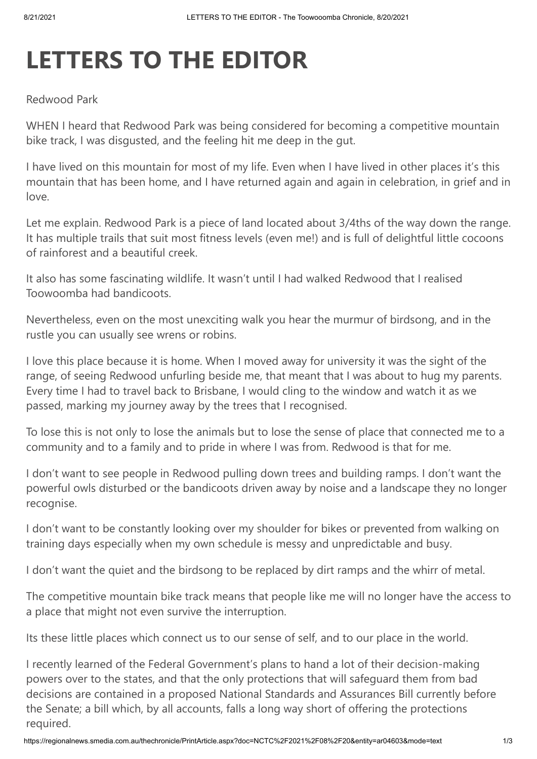## **LETTERS TO THE EDITOR**

## Redwood Park

WHEN I heard that Redwood Park was being considered for becoming a competitive mountain bike track, I was disgusted, and the feeling hit me deep in the gut.

I have lived on this mountain for most of my life. Even when I have lived in other places it's this mountain that has been home, and I have returned again and again in celebration, in grief and in love.

Let me explain. Redwood Park is a piece of land located about 3/4ths of the way down the range. It has multiple trails that suit most fitness levels (even me!) and is full of delightful little cocoons of rainforest and a beautiful creek.

It also has some fascinating wildlife. It wasn't until I had walked Redwood that I realised Toowoomba had bandicoots.

Nevertheless, even on the most unexciting walk you hear the murmur of birdsong, and in the rustle you can usually see wrens or robins.

I love this place because it is home. When I moved away for university it was the sight of the range, of seeing Redwood unfurling beside me, that meant that I was about to hug my parents. Every time I had to travel back to Brisbane, I would cling to the window and watch it as we passed, marking my journey away by the trees that I recognised.

To lose this is not only to lose the animals but to lose the sense of place that connected me to a community and to a family and to pride in where I was from. Redwood is that for me.

I don't want to see people in Redwood pulling down trees and building ramps. I don't want the powerful owls disturbed or the bandicoots driven away by noise and a landscape they no longer recognise.

I don't want to be constantly looking over my shoulder for bikes or prevented from walking on training days especially when my own schedule is messy and unpredictable and busy.

I don't want the quiet and the birdsong to be replaced by dirt ramps and the whirr of metal.

The competitive mountain bike track means that people like me will no longer have the access to a place that might not even survive the interruption.

Its these little places which connect us to our sense of self, and to our place in the world.

I recently learned of the Federal Government's plans to hand a lot of their decision-making powers over to the states, and that the only protections that will safeguard them from bad decisions are contained in a proposed National Standards and Assurances Bill currently before the Senate; a bill which, by all accounts, falls a long way short of offering the protections required.